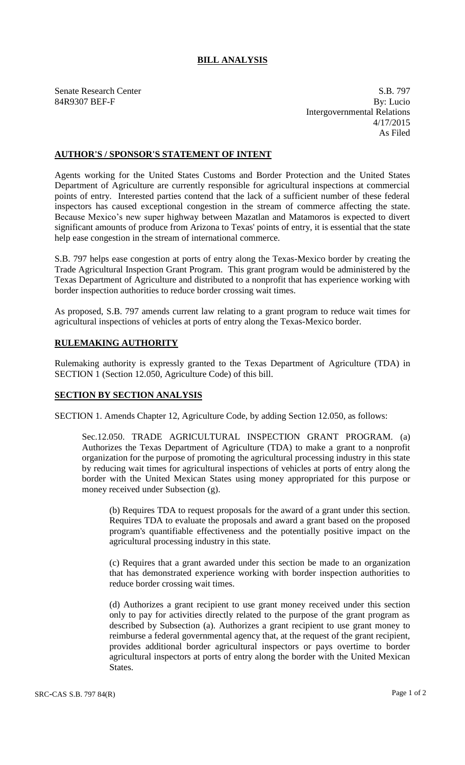## **BILL ANALYSIS**

Senate Research Center S.B. 797 84R9307 BEF-F By: Lucio Intergovernmental Relations 4/17/2015 As Filed

## **AUTHOR'S / SPONSOR'S STATEMENT OF INTENT**

Agents working for the United States Customs and Border Protection and the United States Department of Agriculture are currently responsible for agricultural inspections at commercial points of entry. Interested parties contend that the lack of a sufficient number of these federal inspectors has caused exceptional congestion in the stream of commerce affecting the state. Because Mexico's new super highway between Mazatlan and Matamoros is expected to divert significant amounts of produce from Arizona to Texas' points of entry, it is essential that the state help ease congestion in the stream of international commerce.

S.B. 797 helps ease congestion at ports of entry along the Texas-Mexico border by creating the Trade Agricultural Inspection Grant Program. This grant program would be administered by the Texas Department of Agriculture and distributed to a nonprofit that has experience working with border inspection authorities to reduce border crossing wait times.

As proposed, S.B. 797 amends current law relating to a grant program to reduce wait times for agricultural inspections of vehicles at ports of entry along the Texas-Mexico border.

## **RULEMAKING AUTHORITY**

Rulemaking authority is expressly granted to the Texas Department of Agriculture (TDA) in SECTION 1 (Section 12.050, Agriculture Code) of this bill.

## **SECTION BY SECTION ANALYSIS**

SECTION 1. Amends Chapter 12, Agriculture Code, by adding Section 12.050, as follows:

Sec.12.050. TRADE AGRICULTURAL INSPECTION GRANT PROGRAM. (a) Authorizes the Texas Department of Agriculture (TDA) to make a grant to a nonprofit organization for the purpose of promoting the agricultural processing industry in this state by reducing wait times for agricultural inspections of vehicles at ports of entry along the border with the United Mexican States using money appropriated for this purpose or money received under Subsection (g).

(b) Requires TDA to request proposals for the award of a grant under this section. Requires TDA to evaluate the proposals and award a grant based on the proposed program's quantifiable effectiveness and the potentially positive impact on the agricultural processing industry in this state.

(c) Requires that a grant awarded under this section be made to an organization that has demonstrated experience working with border inspection authorities to reduce border crossing wait times.

(d) Authorizes a grant recipient to use grant money received under this section only to pay for activities directly related to the purpose of the grant program as described by Subsection (a). Authorizes a grant recipient to use grant money to reimburse a federal governmental agency that, at the request of the grant recipient, provides additional border agricultural inspectors or pays overtime to border agricultural inspectors at ports of entry along the border with the United Mexican States.